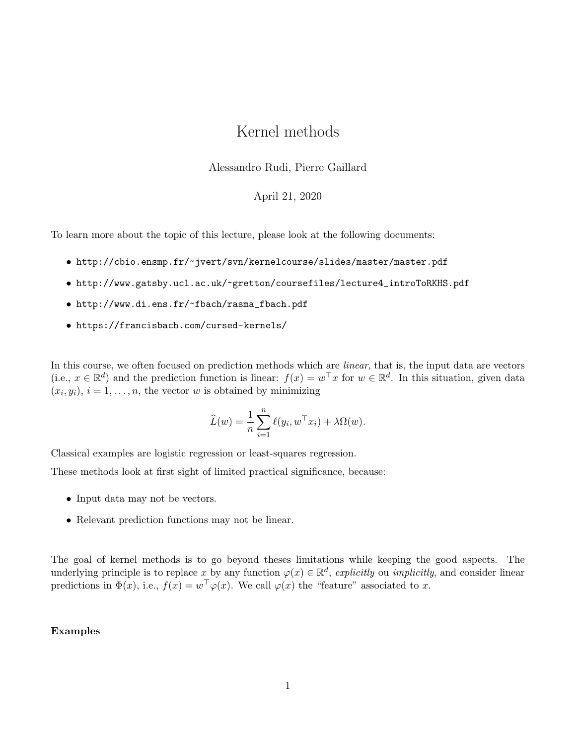# Kernel methods

Alessandro Rudi, Pierre Gaillard

### April 21, 2020

To learn more about the topic of this lecture, please look at the following documents:

- http://cbio.ensmp.fr/~jvert/svn/kernelcourse/slides/master/master.pdf
- http://www.gatsby.ucl.ac.uk/~gretton/coursefiles/lecture4\_introToRKHS.pdf
- http://www.di.ens.fr/~fbach/rasma\_fbach.pdf
- https://francisbach.com/cursed-kernels/

In this course, we often focused on prediction methods which are *linear*, that is, the input data are vectors (i.e.,  $x \in \mathbb{R}^d$ ) and the prediction function is linear:  $f(x) = w^\top x$  for  $w \in \mathbb{R}^d$ . In this situation, given data  $(x_i, y_i), i = 1, \ldots, n$ , the vector w is obtained by minimizing

$$
\widehat{L}(w) = \frac{1}{n} \sum_{i=1}^{n} \ell(y_i, w^{\top} x_i) + \lambda \Omega(w).
$$

Classical examples are logistic regression or least-squares regression.

These methods look at first sight of limited practical significance, because:

- Input data may not be vectors.
- Relevant prediction functions may not be linear.

The goal of kernel methods is to go beyond theses limitations while keeping the good aspects. The underlying principle is to replace x by any function  $\varphi(x) \in \mathbb{R}^d$ , explicitly ou *implicitly*, and consider linear predictions in  $\Phi(x)$ , i.e.,  $f(x) = w^{\top} \varphi(x)$ . We call  $\varphi(x)$  the "feature" associated to x.

### Examples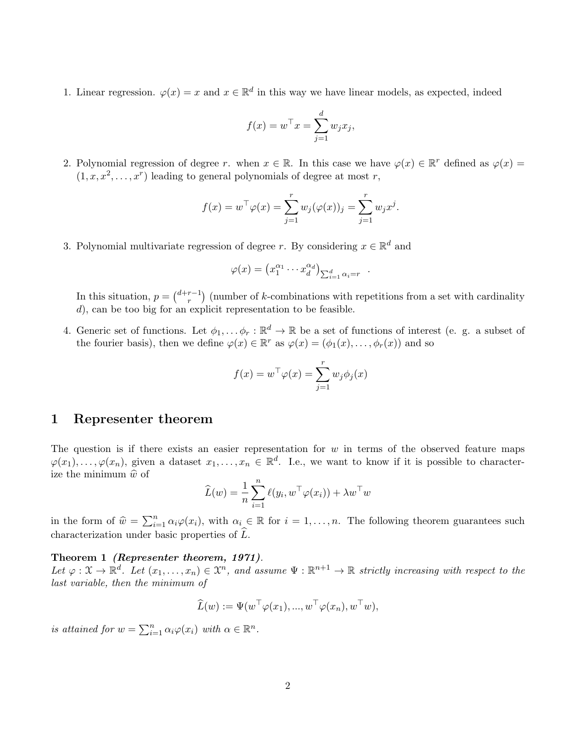1. Linear regression.  $\varphi(x) = x$  and  $x \in \mathbb{R}^d$  in this way we have linear models, as expected, indeed

$$
f(x) = w^{\top} x = \sum_{j=1}^{d} w_j x_j,
$$

2. Polynomial regression of degree r. when  $x \in \mathbb{R}$ . In this case we have  $\varphi(x) \in \mathbb{R}^r$  defined as  $\varphi(x) =$  $(1, x, x^2, \ldots, x^r)$  leading to general polynomials of degree at most r,

$$
f(x) = w^{\top} \varphi(x) = \sum_{j=1}^{r} w_j(\varphi(x))_j = \sum_{j=1}^{r} w_j x^j.
$$

3. Polynomial multivariate regression of degree r. By considering  $x \in \mathbb{R}^d$  and

$$
\varphi(x) = \left(x_1^{\alpha_1} \cdots x_d^{\alpha_d}\right)_{\sum_{i=1}^d \alpha_i = r} .
$$

In this situation,  $p = \binom{d+r-1}{r}$  $\binom{r-1}{r}$  (number of k-combinations with repetitions from a set with cardinality d), can be too big for an explicit representation to be feasible.

4. Generic set of functions. Let  $\phi_1, \ldots, \phi_r : \mathbb{R}^d \to \mathbb{R}$  be a set of functions of interest (e. g. a subset of the fourier basis), then we define  $\varphi(x) \in \mathbb{R}^r$  as  $\varphi(x) = (\phi_1(x), \dots, \phi_r(x))$  and so

$$
f(x) = w^{\top} \varphi(x) = \sum_{j=1}^{r} w_j \phi_j(x)
$$

### 1 Representer theorem

The question is if there exists an easier representation for  $w$  in terms of the observed feature maps  $\varphi(x_1),\ldots,\varphi(x_n)$ , given a dataset  $x_1,\ldots,x_n \in \mathbb{R}^d$ . I.e., we want to know if it is possible to characterize the minimum  $\hat{w}$  of

$$
\widehat{L}(w) = \frac{1}{n} \sum_{i=1}^{n} \ell(y_i, w^{\top} \varphi(x_i)) + \lambda w^{\top} w
$$

in the form of  $\hat{w} = \sum_{i=1}^{n} \alpha_i \varphi(x_i)$ , with  $\alpha_i \in \mathbb{R}$  for  $i = 1, ..., n$ . The following theorem guarantees such characterization under basic properties of  $\tilde{L}$ .

#### Theorem 1 (Representer theorem, 1971).

Let  $\varphi: \mathfrak{X} \to \mathbb{R}^d$ . Let  $(x_1, \ldots, x_n) \in \mathfrak{X}^n$ , and assume  $\Psi: \mathbb{R}^{n+1} \to \mathbb{R}$  strictly increasing with respect to the last variable, then the minimum of

$$
\widehat{L}(w) := \Psi(w^\top \varphi(x_1), ..., w^\top \varphi(x_n), w^\top w),
$$

is attained for  $w = \sum_{i=1}^n \alpha_i \varphi(x_i)$  with  $\alpha \in \mathbb{R}^n$ .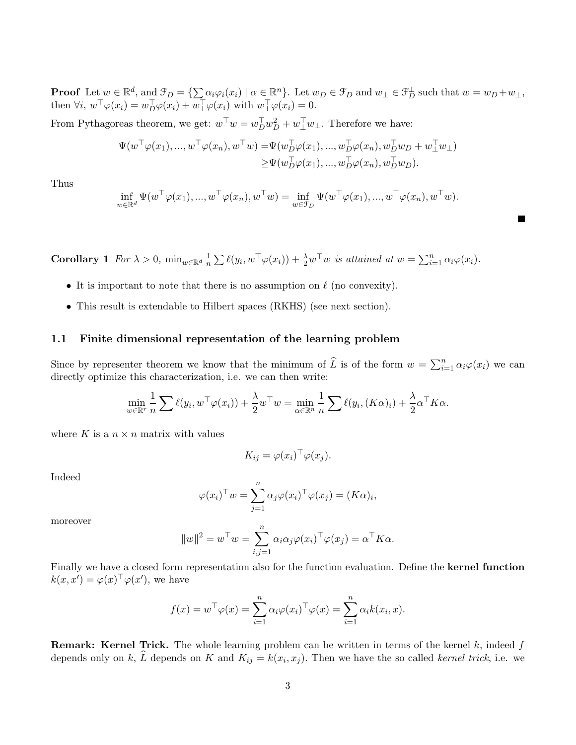**Proof** Let  $w \in \mathbb{R}^d$ , and  $\mathcal{F}_D = \{\sum_{i} \alpha_i \varphi_i(x_i) \mid \alpha \in \mathbb{R}^n\}$ . Let  $w_D \in \mathcal{F}_D$  and  $w_\perp \in \mathcal{F}_D^\perp$  such that  $w = w_D + w_\perp$ , then  $\forall i, w^{\top} \varphi(x_i) = w_D^{\top} \varphi(x_i) + w_{\perp}^{\top} \varphi(x_i)$  with  $w_{\perp}^{\top} \varphi(x_i) = 0$ .

From Pythagoreas theorem, we get:  $w^{\top}w = w_D^{\top}w_D^2 + w_{\perp}^{\top}w_{\perp}$ . Therefore we have:

$$
\Psi(w^{\top}\varphi(x_1),...,w^{\top}\varphi(x_n),w^{\top}w) = \Psi(w_{D}^{\top}\varphi(x_1),...,w_{D}^{\top}\varphi(x_n),w_{D}^{\top}w_D+w_{\perp}^{\top}w_{\perp}) \geq \Psi(w_{D}^{\top}\varphi(x_1),...,w_{D}^{\top}\varphi(x_n),w_{D}^{\top}w_D).
$$

Thus

 $w$ 

$$
\inf_{w \in \mathbb{R}^d} \Psi(w^\top \varphi(x_1), ..., w^\top \varphi(x_n), w^\top w) = \inf_{w \in \mathcal{F}_D} \Psi(w^\top \varphi(x_1), ..., w^\top \varphi(x_n), w^\top w).
$$

 $\blacksquare$ 

**Corollary** 1  $For \lambda > 0$ ,  $\min_{w \in \mathbb{R}^d} \frac{1}{n}$  $\frac{1}{n} \sum \ell(y_i, w^\top \varphi(x_i)) + \frac{\lambda}{2} w^\top w$  is attained at  $w = \sum_{i=1}^n \alpha_i \varphi(x_i)$ .

- It is important to note that there is no assumption on  $\ell$  (no convexity).
- This result is extendable to Hilbert spaces (RKHS) (see next section).

#### 1.1 Finite dimensional representation of the learning problem

Since by representer theorem we know that the minimum of  $\hat{L}$  is of the form  $w = \sum_{i=1}^{n} \alpha_i \varphi(x_i)$  we can directly optimize this characterization, i.e. we can then write:

$$
\min_{w \in \mathbb{R}^r} \frac{1}{n} \sum \ell(y_i, w^\top \varphi(x_i)) + \frac{\lambda}{2} w^\top w = \min_{\alpha \in \mathbb{R}^n} \frac{1}{n} \sum \ell(y_i, (K\alpha)_i) + \frac{\lambda}{2} \alpha^\top K \alpha.
$$

where K is a  $n \times n$  matrix with values

$$
K_{ij} = \varphi(x_i)^\top \varphi(x_j).
$$

Indeed

$$
\varphi(x_i)^\top w = \sum_{j=1}^n \alpha_j \varphi(x_i)^\top \varphi(x_j) = (K\alpha)_i,
$$

moreover

$$
||w||^2 = w^{\top}w = \sum_{i,j=1}^n \alpha_i \alpha_j \varphi(x_i)^{\top} \varphi(x_j) = \alpha^{\top} K \alpha.
$$

Finally we have a closed form representation also for the function evaluation. Define the kernel function  $k(x, x') = \varphi(x)^\top \varphi(x')$ , we have

$$
f(x) = w^{\top} \varphi(x) = \sum_{i=1}^{n} \alpha_i \varphi(x_i)^{\top} \varphi(x) = \sum_{i=1}^{n} \alpha_i k(x_i, x).
$$

**Remark: Kernel Trick.** The whole learning problem can be written in terms of the kernel  $k$ , indeed  $f$ depends only on k, L depends on K and  $K_{ij} = k(x_i, x_j)$ . Then we have the so called kernel trick, i.e. we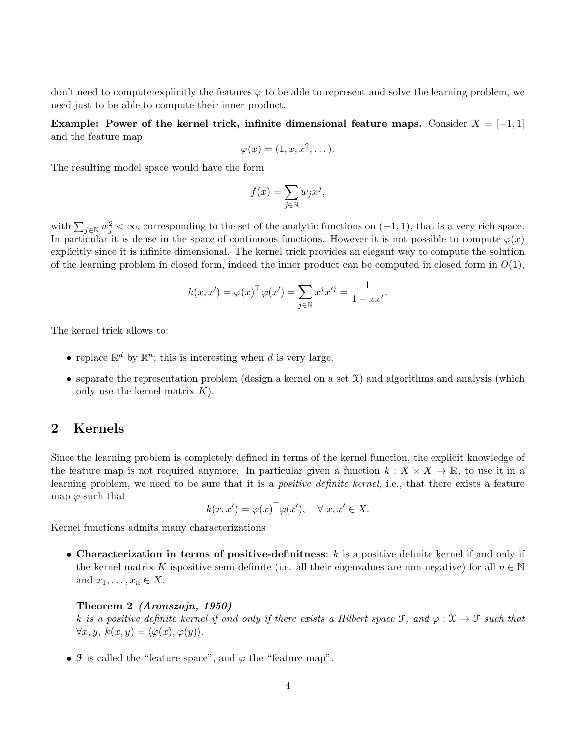don't need to compute explicitly the features  $\varphi$  to be able to represent and solve the learning problem, we need just to be able to compute their inner product.

Example: Power of the kernel trick, infinite dimensional feature maps. Consider  $X = [-1,1]$ and the feature map

$$
\varphi(x) = (1, x, x^2, \dots).
$$

The resulting model space would have the form

$$
f(x) = \sum_{j \in \mathbb{N}} w_j x^j,
$$

with  $\sum_{j\in\mathbb{N}}w_j^2<\infty$ , corresponding to the set of the analytic functions on  $(-1,1)$ , that is a very rich space. In particular it is dense in the space of continuous functions. However it is not possible to compute  $\varphi(x)$ explicitly since it is infinite dimensional. The kernel trick provides an elegant way to compute the solution of the learning problem in closed form, indeed the inner product can be computed in closed form in  $O(1)$ ,

$$
k(x, x') = \varphi(x)^\top \varphi(x') = \sum_{j \in \mathbb{N}} x^j x'^j = \frac{1}{1 - xx'}.
$$

The kernel trick allows to:

- replace  $\mathbb{R}^d$  by  $\mathbb{R}^n$ ; this is interesting when d is very large.
- separate the representation problem (design a kernel on a set  $\mathfrak{X}$ ) and algorithms and analysis (which only use the kernel matrix  $K$ ).

## 2 Kernels

Since the learning problem is completely defined in terms of the kernel function, the explicit knowledge of the feature map is not required anymore. In particular given a function  $k : X \times X \to \mathbb{R}$ , to use it in a learning problem, we need to be sure that it is a *positive definite kernel*, i.e., that there exists a feature map  $\varphi$  such that

$$
k(x, x') = \varphi(x)^\top \varphi(x'), \quad \forall \ x, x' \in X.
$$

Kernel functions admits many characterizations

• Characterization in terms of positive-definitness:  $k$  is a positive definite kernel if and only if the kernel matrix K ispositive semi-definite (i.e. all their eigenvalues are non-negative) for all  $n \in \mathbb{N}$ and  $x_1, \ldots, x_n \in X$ .

#### Theorem 2 (Aronszajn, 1950)

k is a positive definite kernel if and only if there exists a Hilbert space  $\mathcal{F}$ , and  $\varphi : \mathcal{X} \to \mathcal{F}$  such that  $\forall x, y, k(x, y) = \langle \varphi(x), \varphi(y) \rangle.$ 

•  $\mathcal F$  is called the "feature space", and  $\varphi$  the "feature map".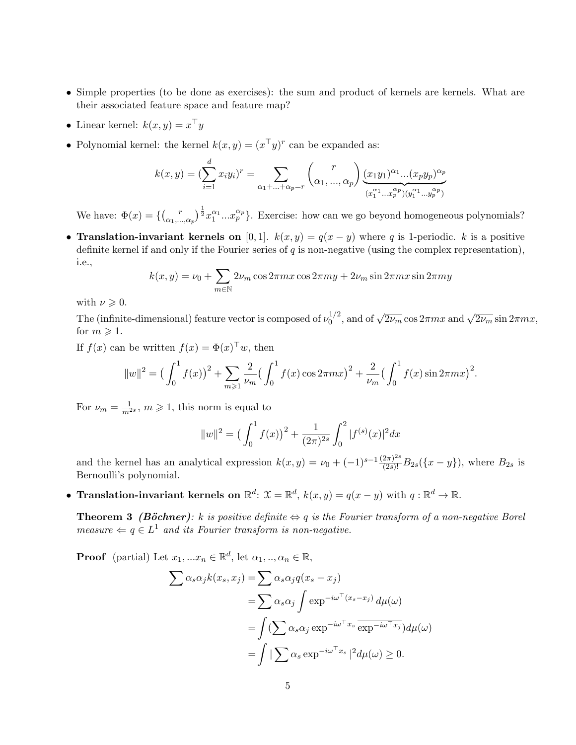- Simple properties (to be done as exercises): the sum and product of kernels are kernels. What are their associated feature space and feature map?
- Linear kernel:  $k(x, y) = x^\top y$
- Polynomial kernel: the kernel  $k(x, y) = (x^{\top}y)^{r}$  can be expanded as:

$$
k(x,y) = (\sum_{i=1}^{d} x_i y_i)^r = \sum_{\alpha_1 + \dots + \alpha_p = r} {r \choose \alpha_1, ..., \alpha_p} \frac{(x_1 y_1)^{\alpha_1} ... (x_p y_p)^{\alpha_p}}{(x_1^{\alpha_1} ... x_p^{\alpha_p})(y_1^{\alpha_1} ... y_p^{\alpha_p})}
$$

We have:  $\Phi(x) = \left\{ \begin{pmatrix} x \\ y \end{pmatrix} \right\}^T$  $\left(\frac{r}{\alpha_1,\ldots,\alpha_p}\right)^{\frac{1}{2}} x_1^{\alpha_1} \ldots x_p^{\alpha_p}$ . Exercise: how can we go beyond homogeneous polynomials?

• Translation-invariant kernels on [0, 1].  $k(x, y) = q(x - y)$  where q is 1-periodic. k is a positive definite kernel if and only if the Fourier series of  $q$  is non-negative (using the complex representation), i.e.,

$$
k(x, y) = \nu_0 + \sum_{m \in \mathbb{N}} 2\nu_m \cos 2\pi mx \cos 2\pi my + 2\nu_m \sin 2\pi mx \sin 2\pi my
$$

with  $\nu \geqslant 0$ .

The (infinite-dimensional) feature vector is composed of  $\nu_0^{1/2}$  $\int_0^{1/2}$ , and of  $\sqrt{2\nu_m}$  cos  $2\pi mx$  and  $\sqrt{2\nu_m}$  sin  $2\pi mx$ , for  $m \geqslant 1$ .

If  $f(x)$  can be written  $f(x) = \Phi(x)^\top w$ , then

$$
||w||^{2} = \left(\int_{0}^{1} f(x)\right)^{2} + \sum_{m \geqslant 1} \frac{2}{\nu_{m}} \left(\int_{0}^{1} f(x) \cos 2\pi m x\right)^{2} + \frac{2}{\nu_{m}} \left(\int_{0}^{1} f(x) \sin 2\pi m x\right)^{2}.
$$

For  $\nu_m = \frac{1}{m^{2s}}$ ,  $m \geqslant 1$ , this norm is equal to

$$
||w||^{2} = \left(\int_{0}^{1} f(x)\right)^{2} + \frac{1}{(2\pi)^{2s}} \int_{0}^{2} |f^{(s)}(x)|^{2} dx
$$

and the kernel has an analytical expression  $k(x, y) = \nu_0 + (-1)^{s-1} \frac{(2\pi)^{2s}}{(2s)!} B_{2s}(\{x - y\})$ , where  $B_{2s}$  is Bernoulli's polynomial.

• Translation-invariant kernels on  $\mathbb{R}^d$ :  $\mathcal{X} = \mathbb{R}^d$ ,  $k(x, y) = q(x - y)$  with  $q : \mathbb{R}^d \to \mathbb{R}$ .

**Theorem 3** (Böchner): k is positive definite  $\Leftrightarrow q$  is the Fourier transform of a non-negative Borel measure  $\Leftarrow q \in L^1$  and its Fourier transform is non-negative.

**Proof** (partial) Let  $x_1, ... x_n \in \mathbb{R}^d$ , let  $\alpha_1, ..., \alpha_n \in \mathbb{R}$ ,

$$
\sum \alpha_s \alpha_j k(x_s, x_j) = \sum \alpha_s \alpha_j q(x_s - x_j)
$$
  
= 
$$
\sum \alpha_s \alpha_j \int \exp^{-i\omega^\top (x_s - x_j)} d\mu(\omega)
$$
  
= 
$$
\int (\sum \alpha_s \alpha_j \exp^{-i\omega^\top x_s} \exp^{-i\omega^\top x_j}) d\mu(\omega)
$$
  
= 
$$
\int |\sum \alpha_s \exp^{-i\omega^\top x_s}|^2 d\mu(\omega) \ge 0.
$$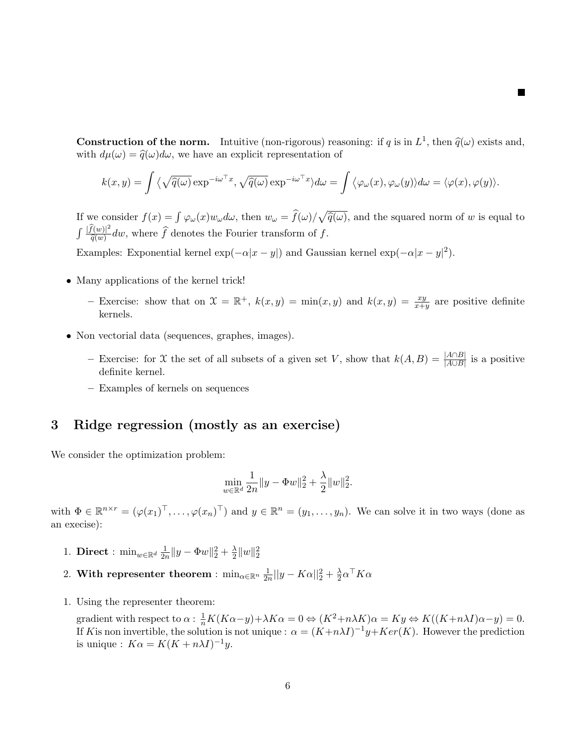**Construction of the norm.** Intuitive (non-rigorous) reasoning: if q is in  $L^1$ , then  $\hat{q}(\omega)$  exists and, with  $d\mu(\omega) = \hat{q}(\omega) d\omega$ , we have an evaluation procentation of with  $d\mu(\omega) = \hat{q}(\omega)d\omega$ , we have an explicit representation of

**The Second Second** 

$$
k(x,y) = \int \langle \sqrt{\widehat{q}(\omega)} \exp^{-i\omega^\top x}, \sqrt{\widehat{q}(\omega)} \exp^{-i\omega^\top x} \rangle d\omega = \int \langle \varphi_\omega(x), \varphi_\omega(y) \rangle d\omega = \langle \varphi(x), \varphi(y) \rangle.
$$

If we consider  $f(x) = \int \varphi_{\omega}(x)w_{\omega}d\omega$ , then  $w_{\omega} = \hat{f}(\omega)/\sqrt{\hat{q}(\omega)}$ , and the squared norm of w is equal to  $\int \frac{|\widehat{f}(w)|^2}{\widehat{g}(w)}$  $\frac{f(w)|^2}{\widehat{q}(w)}$  dw, where f denotes the Fourier transform of f.

Examples: Exponential kernel  $\exp(-\alpha |x-y|)$  and Gaussian kernel  $\exp(-\alpha |x-y|^2)$ .

- Many applications of the kernel trick!
	- Exercise: show that on  $\mathfrak{X} = \mathbb{R}^+$ ,  $k(x, y) = \min(x, y)$  and  $k(x, y) = \frac{xy}{x+y}$  are positive definite kernels.
- Non vectorial data (sequences, graphes, images).
	- Exercise: for X the set of all subsets of a given set V, show that  $k(A, B) = \frac{|A \cap B|}{|A \cup B|}$  is a positive definite kernel.
	- Examples of kernels on sequences

# 3 Ridge regression (mostly as an exercise)

We consider the optimization problem:

$$
\min_{w \in \mathbb{R}^d} \frac{1}{2n} \|y - \Phi w\|_2^2 + \frac{\lambda}{2} \|w\|_2^2.
$$

with  $\Phi \in \mathbb{R}^{n \times r} = (\varphi(x_1)^{\top}, \ldots, \varphi(x_n)^{\top})$  and  $y \in \mathbb{R}^n = (y_1, \ldots, y_n)$ . We can solve it in two ways (done as an execise):

- 1. Direct :  $\min_{w \in \mathbb{R}^d} \frac{1}{2n}$  $\frac{1}{2n} \|y - \Phi w\|_2^2 + \frac{\lambda}{2}$  $\frac{\lambda}{2} \|w\|_2^2$
- 2. With representer theorem :  $\min_{\alpha \in \mathbb{R}^n} \frac{1}{2n}$  $\frac{1}{2n}||y-K\alpha||_2^2 + \frac{\lambda}{2}$  $\frac{\lambda}{2}\alpha^{\top}K\alpha$
- 1. Using the representer theorem:

gradient with respect to  $\alpha$ :  $\frac{1}{n}K(K\alpha-y)+\lambda K\alpha=0 \Leftrightarrow (K^2+n\lambda K)\alpha=Ky \Leftrightarrow K((K+n\lambda I)\alpha-y)=0.$ If K is non invertible, the solution is not unique :  $\alpha = (K+n\lambda I)^{-1}y+Ker(K)$ . However the prediction is unique :  $K\alpha = K(K + n\lambda I)^{-1}y$ .